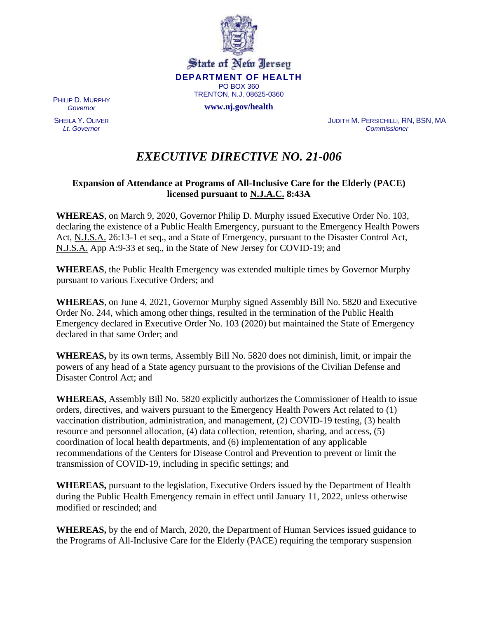

State of New Jersey **DEPARTMENT OF HEALTH** PO BOX 360 TRENTON, N.J. 08625-0360

**www.nj.gov/health**

PHILIP D. MURPHY *Governor*

SHEILA Y. OLIVER *Lt. Governor*

JUDITH M. PERSICHILLI, RN, BSN, MA *Commissioner*

# *EXECUTIVE DIRECTIVE NO. 21-006*

### **Expansion of Attendance at Programs of All-Inclusive Care for the Elderly (PACE) licensed pursuant to N.J.A.C. 8:43A**

**WHEREAS**, on March 9, 2020, Governor Philip D. Murphy issued Executive Order No. 103, declaring the existence of a Public Health Emergency, pursuant to the Emergency Health Powers Act, N.J.S.A. 26:13-1 et seq., and a State of Emergency, pursuant to the Disaster Control Act, N.J.S.A. App A:9-33 et seq., in the State of New Jersey for COVID-19; and

**WHEREAS**, the Public Health Emergency was extended multiple times by Governor Murphy pursuant to various Executive Orders; and

**WHEREAS**, on June 4, 2021, Governor Murphy signed Assembly Bill No. 5820 and Executive Order No. 244, which among other things, resulted in the termination of the Public Health Emergency declared in Executive Order No. 103 (2020) but maintained the State of Emergency declared in that same Order; and

**WHEREAS,** by its own terms, Assembly Bill No. 5820 does not diminish, limit, or impair the powers of any head of a State agency pursuant to the provisions of the Civilian Defense and Disaster Control Act; and

**WHEREAS,** Assembly Bill No. 5820 explicitly authorizes the Commissioner of Health to issue orders, directives, and waivers pursuant to the Emergency Health Powers Act related to (1) vaccination distribution, administration, and management, (2) COVID-19 testing, (3) health resource and personnel allocation, (4) data collection, retention, sharing, and access, (5) coordination of local health departments, and (6) implementation of any applicable recommendations of the Centers for Disease Control and Prevention to prevent or limit the transmission of COVID-19, including in specific settings; and

**WHEREAS,** pursuant to the legislation, Executive Orders issued by the Department of Health during the Public Health Emergency remain in effect until January 11, 2022, unless otherwise modified or rescinded; and

**WHEREAS,** by the end of March, 2020, the Department of Human Services issued guidance to the Programs of All-Inclusive Care for the Elderly (PACE) requiring the temporary suspension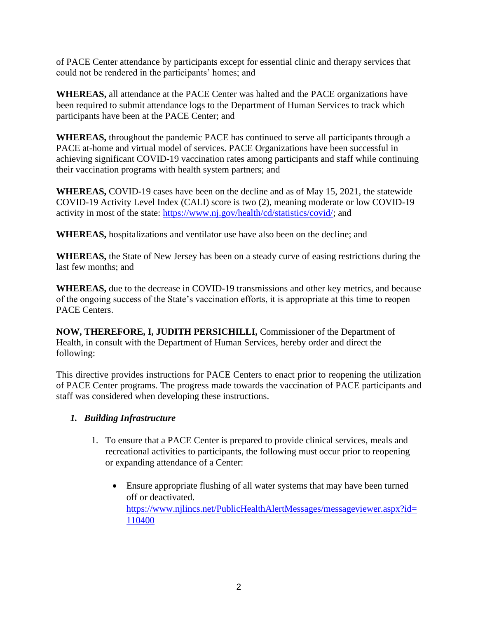of PACE Center attendance by participants except for essential clinic and therapy services that could not be rendered in the participants' homes; and

**WHEREAS,** all attendance at the PACE Center was halted and the PACE organizations have been required to submit attendance logs to the Department of Human Services to track which participants have been at the PACE Center; and

**WHEREAS,** throughout the pandemic PACE has continued to serve all participants through a PACE at-home and virtual model of services. PACE Organizations have been successful in achieving significant COVID-19 vaccination rates among participants and staff while continuing their vaccination programs with health system partners; and

**WHEREAS,** COVID-19 cases have been on the decline and as of May 15, 2021, the statewide COVID-19 Activity Level Index (CALI) score is two (2), meaning moderate or low COVID-19 activity in most of the state: [https://www.nj.gov/health/cd/statistics/covid/;](https://www.nj.gov/health/cd/statistics/covid/) and

**WHEREAS,** hospitalizations and ventilator use have also been on the decline; and

**WHEREAS,** the State of New Jersey has been on a steady curve of easing restrictions during the last few months; and

**WHEREAS,** due to the decrease in COVID-19 transmissions and other key metrics, and because of the ongoing success of the State's vaccination efforts, it is appropriate at this time to reopen PACE Centers.

**NOW, THEREFORE, I, JUDITH PERSICHILLI,** Commissioner of the Department of Health, in consult with the Department of Human Services, hereby order and direct the following:

This directive provides instructions for PACE Centers to enact prior to reopening the utilization of PACE Center programs. The progress made towards the vaccination of PACE participants and staff was considered when developing these instructions.

#### *1. Building Infrastructure*

- 1. To ensure that a PACE Center is prepared to provide clinical services, meals and recreational activities to participants, the following must occur prior to reopening or expanding attendance of a Center:
	- Ensure appropriate flushing of all water systems that may have been turned off or deactivated. [https://www.njlincs.net/PublicHealthAlertMessages/messageviewer.aspx?id=](https://www.njlincs.net/PublicHealthAlertMessages/messageviewer.aspx?id=110400) [110400](https://www.njlincs.net/PublicHealthAlertMessages/messageviewer.aspx?id=110400)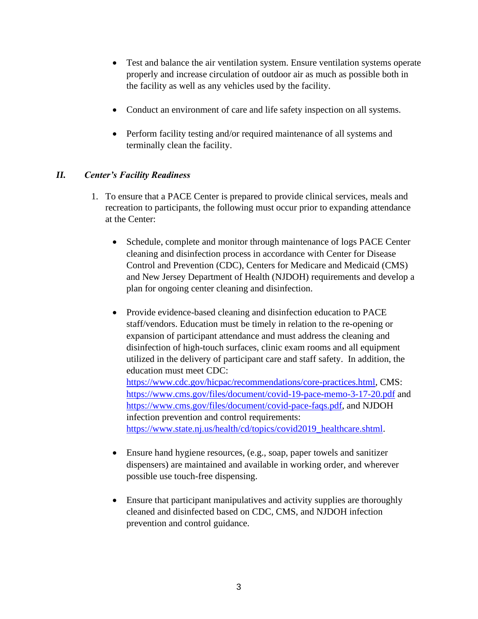- Test and balance the air ventilation system. Ensure ventilation systems operate properly and increase circulation of outdoor air as much as possible both in the facility as well as any vehicles used by the facility.
- Conduct an environment of care and life safety inspection on all systems.
- Perform facility testing and/or required maintenance of all systems and terminally clean the facility.

## *II. Center's Facility Readiness*

- 1. To ensure that a PACE Center is prepared to provide clinical services, meals and recreation to participants, the following must occur prior to expanding attendance at the Center:
	- Schedule, complete and monitor through maintenance of logs PACE Center cleaning and disinfection process in accordance with Center for Disease Control and Prevention (CDC), Centers for Medicare and Medicaid (CMS) and New Jersey Department of Health (NJDOH) requirements and develop a plan for ongoing center cleaning and disinfection.
	- Provide evidence-based cleaning and disinfection education to PACE staff/vendors. Education must be timely in relation to the re-opening or expansion of participant attendance and must address the cleaning and disinfection of high-touch surfaces, clinic exam rooms and all equipment utilized in the delivery of participant care and staff safety. In addition, the education must meet CDC: [https://www.cdc.gov/hicpac/recommendations/core-practices.html,](https://www.cdc.gov/hicpac/recommendations/core-practices.html) CMS: <https://www.cms.gov/files/document/covid-19-pace-memo-3-17-20.pdf> and [https://www.cms.gov/files/document/covid-pace-faqs.pdf,](https://www.cms.gov/files/document/covid-pace-faqs.pdf) and NJDOH infection prevention and control requirements: [https://www.state.nj.us/health/cd/topics/covid2019\\_healthcare.shtml.](https://www.state.nj.us/health/cd/topics/covid2019_healthcare.shtml)
	- Ensure hand hygiene resources, (e.g., soap, paper towels and sanitizer dispensers) are maintained and available in working order, and wherever possible use touch-free dispensing.
	- Ensure that participant manipulatives and activity supplies are thoroughly cleaned and disinfected based on CDC, CMS, and NJDOH infection prevention and control guidance.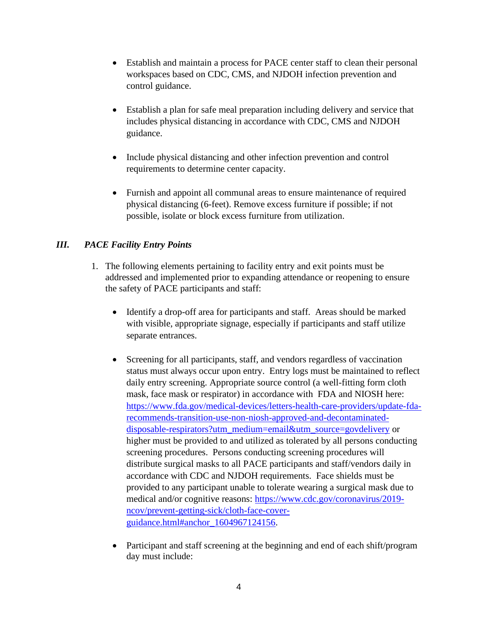- Establish and maintain a process for PACE center staff to clean their personal workspaces based on CDC, CMS, and NJDOH infection prevention and control guidance.
- Establish a plan for safe meal preparation including delivery and service that includes physical distancing in accordance with CDC, CMS and NJDOH guidance.
- Include physical distancing and other infection prevention and control requirements to determine center capacity.
- Furnish and appoint all communal areas to ensure maintenance of required physical distancing (6-feet). Remove excess furniture if possible; if not possible, isolate or block excess furniture from utilization.

# *III. PACE Facility Entry Points*

- 1. The following elements pertaining to facility entry and exit points must be addressed and implemented prior to expanding attendance or reopening to ensure the safety of PACE participants and staff:
	- Identify a drop-off area for participants and staff. Areas should be marked with visible, appropriate signage, especially if participants and staff utilize separate entrances.
	- Screening for all participants, staff, and vendors regardless of vaccination status must always occur upon entry. Entry logs must be maintained to reflect daily entry screening. Appropriate source control (a well-fitting form cloth mask, face mask or respirator) in accordance with FDA and NIOSH here: [https://www.fda.gov/medical-devices/letters-health-care-providers/update-fda](https://www.fda.gov/medical-devices/letters-health-care-providers/update-fda-recommends-transition-use-non-niosh-approved-and-decontaminated-disposable-respirators?utm_medium=email&utm_source=govdelivery)[recommends-transition-use-non-niosh-approved-and-decontaminated](https://www.fda.gov/medical-devices/letters-health-care-providers/update-fda-recommends-transition-use-non-niosh-approved-and-decontaminated-disposable-respirators?utm_medium=email&utm_source=govdelivery)[disposable-respirators?utm\\_medium=email&utm\\_source=govdelivery](https://www.fda.gov/medical-devices/letters-health-care-providers/update-fda-recommends-transition-use-non-niosh-approved-and-decontaminated-disposable-respirators?utm_medium=email&utm_source=govdelivery) or higher must be provided to and utilized as tolerated by all persons conducting screening procedures. Persons conducting screening procedures will distribute surgical masks to all PACE participants and staff/vendors daily in accordance with CDC and NJDOH requirements. Face shields must be provided to any participant unable to tolerate wearing a surgical mask due to medical and/or cognitive reasons: [https://www.cdc.gov/coronavirus/2019](https://www.cdc.gov/coronavirus/2019-ncov/prevent-getting-sick/cloth-face-cover-guidance.html#anchor_1604967124156) [ncov/prevent-getting-sick/cloth-face-cover](https://www.cdc.gov/coronavirus/2019-ncov/prevent-getting-sick/cloth-face-cover-guidance.html#anchor_1604967124156)[guidance.html#anchor\\_1604967124156.](https://www.cdc.gov/coronavirus/2019-ncov/prevent-getting-sick/cloth-face-cover-guidance.html#anchor_1604967124156)
	- Participant and staff screening at the beginning and end of each shift/program day must include: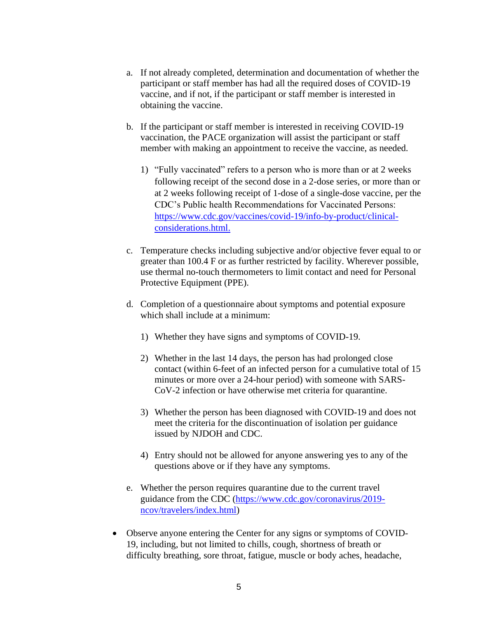- a. If not already completed, determination and documentation of whether the participant or staff member has had all the required doses of COVID-19 vaccine, and if not, if the participant or staff member is interested in obtaining the vaccine.
- b. If the participant or staff member is interested in receiving COVID-19 vaccination, the PACE organization will assist the participant or staff member with making an appointment to receive the vaccine, as needed.
	- 1) "Fully vaccinated" refers to a person who is more than or at 2 weeks following receipt of the second dose in a 2-dose series, or more than or at 2 weeks following receipt of 1-dose of a single-dose vaccine, per the CDC's Public health Recommendations for Vaccinated Persons: [https://www.cdc.gov/vaccines/covid-19/info-by-product/clinical](https://www.cdc.gov/vaccines/covid-19/info-by-product/clinical-considerations.html)[considerations.html.](https://www.cdc.gov/vaccines/covid-19/info-by-product/clinical-considerations.html)
- c. Temperature checks including subjective and/or objective fever equal to or greater than 100.4 F or as further restricted by facility. Wherever possible, use thermal no-touch thermometers to limit contact and need for Personal Protective Equipment (PPE).
- d. Completion of a questionnaire about symptoms and potential exposure which shall include at a minimum:
	- 1) Whether they have signs and symptoms of COVID-19.
	- 2) Whether in the last 14 days, the person has had prolonged close contact (within 6-feet of an infected person for a cumulative total of 15 minutes or more over a 24-hour period) with someone with SARS-CoV-2 infection or have otherwise met criteria for quarantine.
	- 3) Whether the person has been diagnosed with COVID-19 and does not meet the criteria for the discontinuation of isolation per guidance issued by NJDOH and CDC.
	- 4) Entry should not be allowed for anyone answering yes to any of the questions above or if they have any symptoms.
- e. Whether the person requires quarantine due to the current travel guidance from the CDC [\(https://www.cdc.gov/coronavirus/2019](https://www.cdc.gov/coronavirus/2019-ncov/travelers/index.html) [ncov/travelers/index.html\)](https://www.cdc.gov/coronavirus/2019-ncov/travelers/index.html)
- Observe anyone entering the Center for any signs or symptoms of COVID-19, including, but not limited to chills, cough, shortness of breath or difficulty breathing, sore throat, fatigue, muscle or body aches, headache,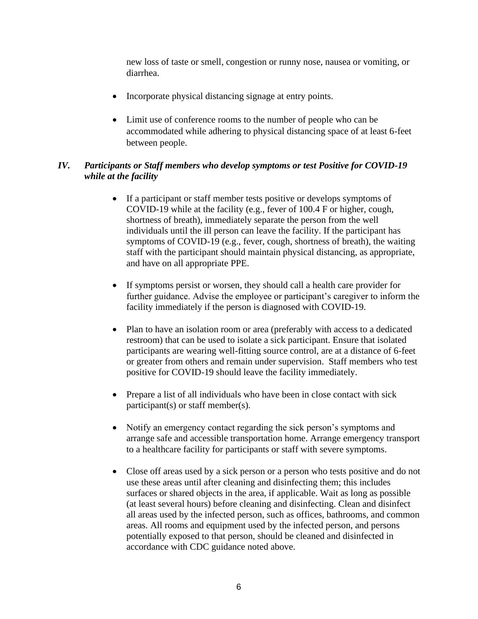new loss of taste or smell, congestion or runny nose, nausea or vomiting, or diarrhea.

- Incorporate physical distancing signage at entry points.
- Limit use of conference rooms to the number of people who can be accommodated while adhering to physical distancing space of at least 6-feet between people.

## *IV. Participants or Staff members who develop symptoms or test Positive for COVID-19 while at the facility*

- If a participant or staff member tests positive or develops symptoms of COVID-19 while at the facility (e.g., fever of 100.4 F or higher, cough, shortness of breath), immediately separate the person from the well individuals until the ill person can leave the facility. If the participant has symptoms of COVID-19 (e.g., fever, cough, shortness of breath), the waiting staff with the participant should maintain physical distancing, as appropriate, and have on all appropriate PPE.
- If symptoms persist or worsen, they should call a health care provider for further guidance. Advise the employee or participant's caregiver to inform the facility immediately if the person is diagnosed with COVID-19.
- Plan to have an isolation room or area (preferably with access to a dedicated restroom) that can be used to isolate a sick participant. Ensure that isolated participants are wearing well-fitting source control, are at a distance of 6-feet or greater from others and remain under supervision. Staff members who test positive for COVID-19 should leave the facility immediately.
- Prepare a list of all individuals who have been in close contact with sick participant(s) or staff member(s).
- Notify an emergency contact regarding the sick person's symptoms and arrange safe and accessible transportation home. Arrange emergency transport to a healthcare facility for participants or staff with severe symptoms.
- Close off areas used by a sick person or a person who tests positive and do not use these areas until after cleaning and disinfecting them; this includes surfaces or shared objects in the area, if applicable. Wait as long as possible (at least several hours) before cleaning and disinfecting. Clean and disinfect all areas used by the infected person, such as offices, bathrooms, and common areas. All rooms and equipment used by the infected person, and persons potentially exposed to that person, should be cleaned and disinfected in accordance with CDC guidance noted above.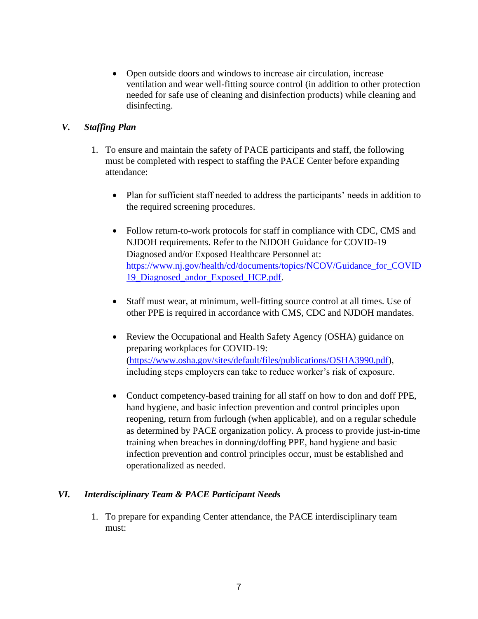• Open outside doors and windows to increase air circulation, increase ventilation and wear well-fitting source control (in addition to other protection needed for safe use of cleaning and disinfection products) while cleaning and disinfecting.

## *V. Staffing Plan*

- 1. To ensure and maintain the safety of PACE participants and staff, the following must be completed with respect to staffing the PACE Center before expanding attendance:
	- Plan for sufficient staff needed to address the participants' needs in addition to the required screening procedures.
	- Follow return-to-work protocols for staff in compliance with CDC, CMS and NJDOH requirements. Refer to the NJDOH Guidance for COVID-19 Diagnosed and/or Exposed Healthcare Personnel at: [https://www.nj.gov/health/cd/documents/topics/NCOV/Guidance\\_for\\_COVID](https://www.nj.gov/health/cd/documents/topics/NCOV/Guidance_for_COVID19_Diagnosed_andor_Exposed_HCP.pdf) [19\\_Diagnosed\\_andor\\_Exposed\\_HCP.pdf.](https://www.nj.gov/health/cd/documents/topics/NCOV/Guidance_for_COVID19_Diagnosed_andor_Exposed_HCP.pdf)
	- Staff must wear, at minimum, well-fitting source control at all times. Use of other PPE is required in accordance with CMS, CDC and NJDOH mandates.
	- Review the Occupational and Health Safety Agency (OSHA) guidance on preparing workplaces for COVID-19: [\(https://www.osha.gov/sites/default/files/publications/OSHA3990.pdf\)](https://www.osha.gov/sites/default/files/publications/OSHA3990.pdf), including steps employers can take to reduce worker's risk of exposure.
	- Conduct competency-based training for all staff on how to don and doff PPE, hand hygiene, and basic infection prevention and control principles upon reopening, return from furlough (when applicable), and on a regular schedule as determined by PACE organization policy. A process to provide just-in-time training when breaches in donning/doffing PPE, hand hygiene and basic infection prevention and control principles occur, must be established and operationalized as needed.

#### *VI. Interdisciplinary Team & PACE Participant Needs*

1. To prepare for expanding Center attendance, the PACE interdisciplinary team must: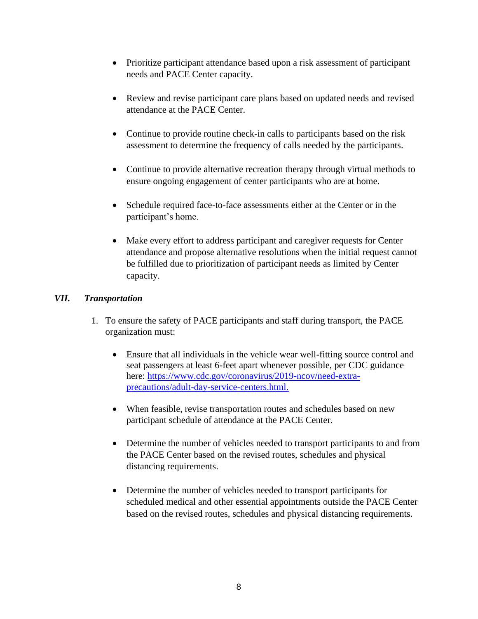- Prioritize participant attendance based upon a risk assessment of participant needs and PACE Center capacity.
- Review and revise participant care plans based on updated needs and revised attendance at the PACE Center.
- Continue to provide routine check-in calls to participants based on the risk assessment to determine the frequency of calls needed by the participants.
- Continue to provide alternative recreation therapy through virtual methods to ensure ongoing engagement of center participants who are at home.
- Schedule required face-to-face assessments either at the Center or in the participant's home.
- Make every effort to address participant and caregiver requests for Center attendance and propose alternative resolutions when the initial request cannot be fulfilled due to prioritization of participant needs as limited by Center capacity.

#### *VII. Transportation*

- 1. To ensure the safety of PACE participants and staff during transport, the PACE organization must:
	- Ensure that all individuals in the vehicle wear well-fitting source control and seat passengers at least 6-feet apart whenever possible, per CDC guidance here: [https://www.cdc.gov/coronavirus/2019-ncov/need-extra](https://www.cdc.gov/coronavirus/2019-ncov/need-extra-precautions/adult-day-service-centers.html)[precautions/adult-day-service-centers.html.](https://www.cdc.gov/coronavirus/2019-ncov/need-extra-precautions/adult-day-service-centers.html)
	- When feasible, revise transportation routes and schedules based on new participant schedule of attendance at the PACE Center.
	- Determine the number of vehicles needed to transport participants to and from the PACE Center based on the revised routes, schedules and physical distancing requirements.
	- Determine the number of vehicles needed to transport participants for scheduled medical and other essential appointments outside the PACE Center based on the revised routes, schedules and physical distancing requirements.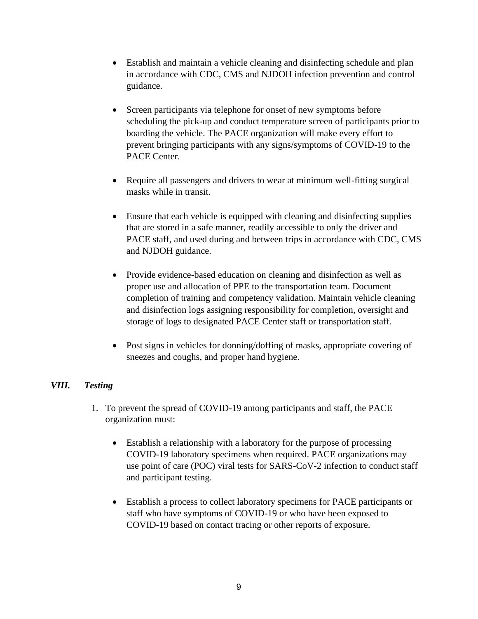- Establish and maintain a vehicle cleaning and disinfecting schedule and plan in accordance with CDC, CMS and NJDOH infection prevention and control guidance.
- Screen participants via telephone for onset of new symptoms before scheduling the pick-up and conduct temperature screen of participants prior to boarding the vehicle. The PACE organization will make every effort to prevent bringing participants with any signs/symptoms of COVID-19 to the PACE Center.
- Require all passengers and drivers to wear at minimum well-fitting surgical masks while in transit.
- Ensure that each vehicle is equipped with cleaning and disinfecting supplies that are stored in a safe manner, readily accessible to only the driver and PACE staff, and used during and between trips in accordance with CDC, CMS and NJDOH guidance.
- Provide evidence-based education on cleaning and disinfection as well as proper use and allocation of PPE to the transportation team. Document completion of training and competency validation. Maintain vehicle cleaning and disinfection logs assigning responsibility for completion, oversight and storage of logs to designated PACE Center staff or transportation staff.
- Post signs in vehicles for donning/doffing of masks, appropriate covering of sneezes and coughs, and proper hand hygiene.

#### *VIII. Testing*

- 1. To prevent the spread of COVID-19 among participants and staff, the PACE organization must:
	- Establish a relationship with a laboratory for the purpose of processing COVID-19 laboratory specimens when required. PACE organizations may use point of care (POC) viral tests for SARS-CoV-2 infection to conduct staff and participant testing.
	- Establish a process to collect laboratory specimens for PACE participants or staff who have symptoms of COVID-19 or who have been exposed to COVID-19 based on contact tracing or other reports of exposure.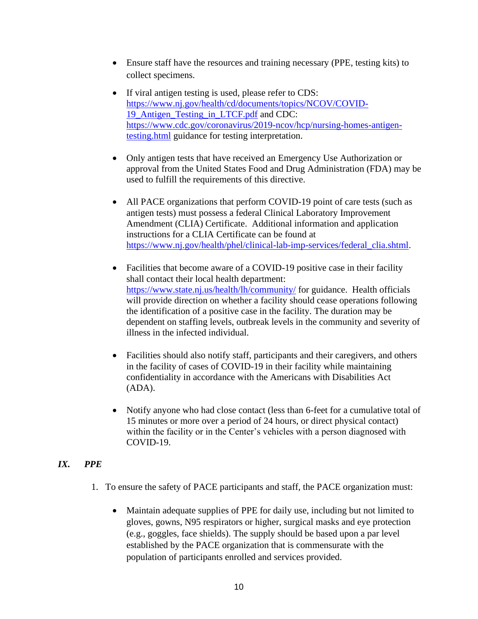- Ensure staff have the resources and training necessary (PPE, testing kits) to collect specimens.
- If viral antigen testing is used, please refer to CDS: [https://www.nj.gov/health/cd/documents/topics/NCOV/COVID-](https://www.nj.gov/health/cd/documents/topics/NCOV/COVID-19_Antigen_Testing_in_LTCF.pdf)19 Antigen Testing in LTCF.pdf and CDC: [https://www.cdc.gov/coronavirus/2019-ncov/hcp/nursing-homes-antigen](https://www.cdc.gov/coronavirus/2019-ncov/hcp/nursing-homes-antigen-testing.html)[testing.html](https://www.cdc.gov/coronavirus/2019-ncov/hcp/nursing-homes-antigen-testing.html) guidance for testing interpretation.
- Only antigen tests that have received an Emergency Use Authorization or approval from the United States Food and Drug Administration (FDA) may be used to fulfill the requirements of this directive.
- All PACE organizations that perform COVID-19 point of care tests (such as antigen tests) must possess a federal Clinical Laboratory Improvement Amendment (CLIA) Certificate. Additional information and application instructions for a CLIA Certificate can be found at [https://www.nj.gov/health/phel/clinical-lab-imp-services/federal\\_clia.shtml.](https://www.nj.gov/health/phel/clinical-lab-imp-services/federal_clia.shtml)
- Facilities that become aware of a COVID-19 positive case in their facility shall contact their [l](http://www.localhealth.nj.gov/)ocal health department: <https://www.state.nj.us/health/lh/community/> for guidance. Health officials will provide direction on whether a facility should cease operations following the identification of a positive case in the facility. The duration may be dependent on staffing levels, outbreak levels in the community and severity of illness in the infected individual.
- Facilities should also notify staff, participants and their caregivers, and others in the facility of cases of COVID-19 in their facility while maintaining confidentiality in accordance with the Americans with Disabilities Act (ADA).
- Notify anyone who had close contact (less than 6-feet for a cumulative total of 15 minutes or more over a period of 24 hours, or direct physical contact) within the facility or in the Center's vehicles with a person diagnosed with COVID-19.

# *IX. PPE*

- 1. To ensure the safety of PACE participants and staff, the PACE organization must:
	- Maintain adequate supplies of PPE for daily use, including but not limited to gloves, gowns, N95 respirators or higher, surgical masks and eye protection (e.g., goggles, face shields). The supply should be based upon a par level established by the PACE organization that is commensurate with the population of participants enrolled and services provided.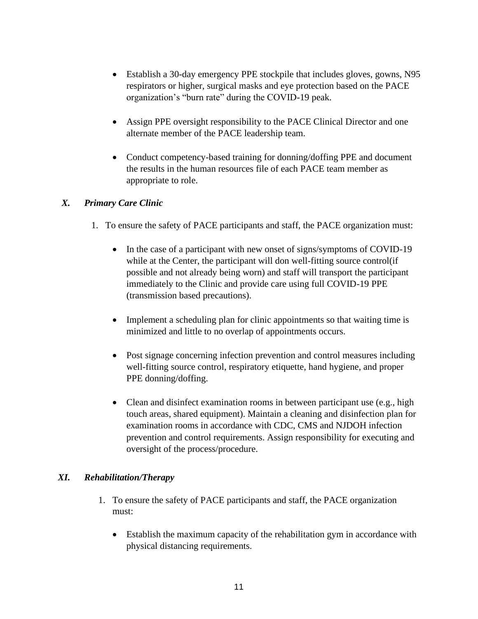- Establish a 30-day emergency PPE stockpile that includes gloves, gowns, N95 respirators or higher, surgical masks and eye protection based on the PACE organization's "burn rate" during the COVID-19 peak.
- Assign PPE oversight responsibility to the PACE Clinical Director and one alternate member of the PACE leadership team.
- Conduct competency-based training for donning/doffing PPE and document the results in the human resources file of each PACE team member as appropriate to role.

## *X. Primary Care Clinic*

- 1. To ensure the safety of PACE participants and staff, the PACE organization must:
	- In the case of a participant with new onset of signs/symptoms of COVID-19 while at the Center, the participant will don well-fitting source control(if possible and not already being worn) and staff will transport the participant immediately to the Clinic and provide care using full COVID-19 PPE (transmission based precautions).
	- Implement a scheduling plan for clinic appointments so that waiting time is minimized and little to no overlap of appointments occurs.
	- Post signage concerning infection prevention and control measures including well-fitting source control, respiratory etiquette, hand hygiene, and proper PPE donning/doffing.
	- Clean and disinfect examination rooms in between participant use (e.g., high touch areas, shared equipment). Maintain a cleaning and disinfection plan for examination rooms in accordance with CDC, CMS and NJDOH infection prevention and control requirements. Assign responsibility for executing and oversight of the process/procedure.

# *XI. Rehabilitation/Therapy*

- 1. To ensure the safety of PACE participants and staff, the PACE organization must:
	- Establish the maximum capacity of the rehabilitation gym in accordance with physical distancing requirements.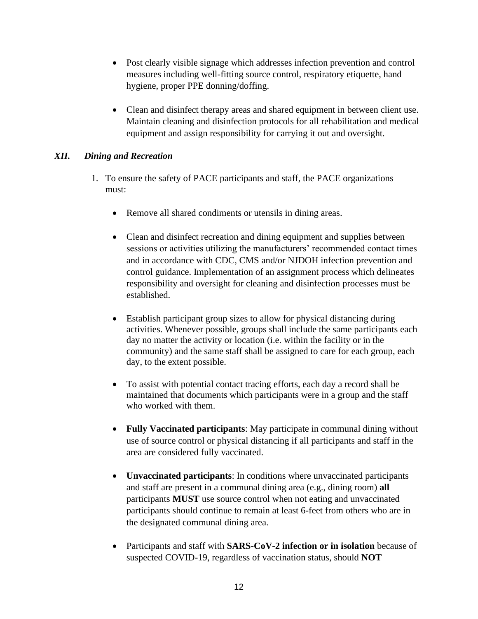- Post clearly visible signage which addresses infection prevention and control measures including well-fitting source control, respiratory etiquette, hand hygiene, proper PPE donning/doffing.
- Clean and disinfect therapy areas and shared equipment in between client use. Maintain cleaning and disinfection protocols for all rehabilitation and medical equipment and assign responsibility for carrying it out and oversight.

#### *XII. Dining and Recreation*

- 1. To ensure the safety of PACE participants and staff, the PACE organizations must:
	- Remove all shared condiments or utensils in dining areas.
	- Clean and disinfect recreation and dining equipment and supplies between sessions or activities utilizing the manufacturers' recommended contact times and in accordance with CDC, CMS and/or NJDOH infection prevention and control guidance. Implementation of an assignment process which delineates responsibility and oversight for cleaning and disinfection processes must be established.
	- Establish participant group sizes to allow for physical distancing during activities. Whenever possible, groups shall include the same participants each day no matter the activity or location (i.e. within the facility or in the community) and the same staff shall be assigned to care for each group, each day, to the extent possible.
	- To assist with potential contact tracing efforts, each day a record shall be maintained that documents which participants were in a group and the staff who worked with them.
	- **Fully Vaccinated participants**: May participate in communal dining without use of source control or physical distancing if all participants and staff in the area are considered fully vaccinated.
	- **Unvaccinated participants**: In conditions where unvaccinated participants and staff are present in a communal dining area (e.g., dining room) **all** participants **MUST** use source control when not eating and unvaccinated participants should continue to remain at least 6-feet from others who are in the designated communal dining area.
	- Participants and staff with **SARS-CoV-2 infection or in isolation** because of suspected COVID-19, regardless of vaccination status, should **NOT**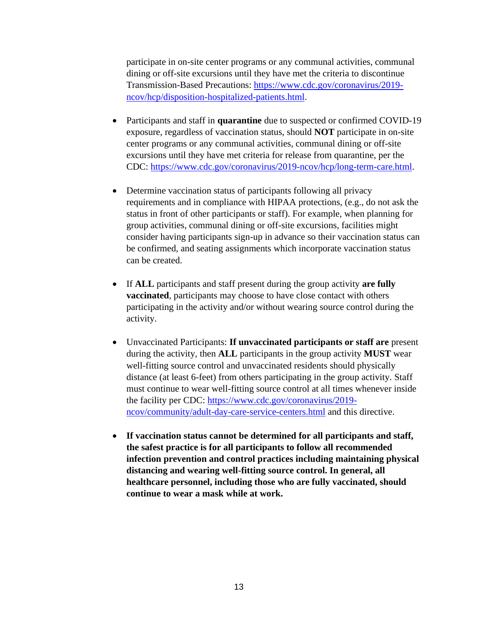participate in on-site center programs or any communal activities, communal dining or off-site excursions until they have met the criteria to discontinue Transmission-Based Precautions: [https://www.cdc.gov/coronavirus/2019](https://www.cdc.gov/coronavirus/2019-ncov/hcp/disposition-hospitalized-patients.html) [ncov/hcp/disposition-hospitalized-patients.html.](https://www.cdc.gov/coronavirus/2019-ncov/hcp/disposition-hospitalized-patients.html)

- Participants and staff in **quarantine** due to suspected or confirmed COVID-19 exposure, regardless of vaccination status, should **NOT** participate in on-site center programs or any communal activities, communal dining or off-site excursions until they have met criteria for release from quarantine, per the CDC: [https://www.cdc.gov/coronavirus/2019-ncov/hcp/long-term-care.html.](https://www.cdc.gov/coronavirus/2019-ncov/hcp/long-term-care.html)
- Determine vaccination status of participants following all privacy requirements and in compliance with HIPAA protections, (e.g., do not ask the status in front of other participants or staff). For example, when planning for group activities, communal dining or off-site excursions, facilities might consider having participants sign-up in advance so their vaccination status can be confirmed, and seating assignments which incorporate vaccination status can be created.
- If **ALL** participants and staff present during the group activity **are fully vaccinated**, participants may choose to have close contact with others participating in the activity and/or without wearing source control during the activity.
- Unvaccinated Participants: **If unvaccinated participants or staff are** present during the activity, then **ALL** participants in the group activity **MUST** wear well-fitting source control and unvaccinated residents should physically distance (at least 6-feet) from others participating in the group activity. Staff must continue to wear well-fitting source control at all times whenever inside the facility per CDC: [https://www.cdc.gov/coronavirus/2019](https://www.cdc.gov/coronavirus/2019-ncov/community/adult-day-care-service-centers.html) [ncov/community/adult-day-care-service-centers.html](https://www.cdc.gov/coronavirus/2019-ncov/community/adult-day-care-service-centers.html) and this directive.
- **If vaccination status cannot be determined for all participants and staff, the safest practice is for all participants to follow all recommended infection prevention and control practices including maintaining physical distancing and wearing well-fitting source control. In general, all healthcare personnel, including those who are fully vaccinated, should continue to wear a mask while at work.**